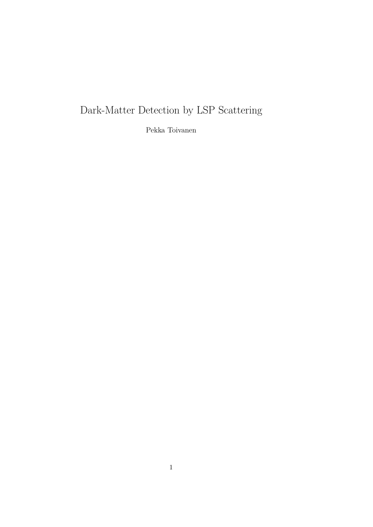# Dark-Matter Detection by LSP Scattering

Pekka Toivanen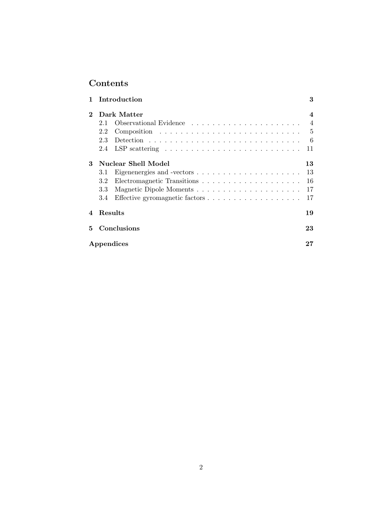## Contents

| 1                      |         | Introduction                                                             | 3              |
|------------------------|---------|--------------------------------------------------------------------------|----------------|
| $\bf{2}$               |         | Dark Matter                                                              | 4              |
|                        | 2.1     |                                                                          | $\overline{4}$ |
|                        | 2.2     |                                                                          |                |
|                        | 2.3     |                                                                          | -6             |
|                        | 2.4     | LSP scattering $\ldots \ldots \ldots \ldots \ldots \ldots \ldots \ldots$ | 11             |
| 3                      |         | Nuclear Shell Model                                                      | 13             |
|                        | 3.1     |                                                                          | 13             |
|                        | 3.2     |                                                                          | 16             |
|                        | 3.3     | Magnetic Dipole Moments                                                  | 17             |
|                        | 3.4     |                                                                          | 17             |
| $\boldsymbol{\Lambda}$ | Results |                                                                          | 19             |
| 5                      |         | Conclusions                                                              | 23             |
|                        |         | Appendices                                                               | 27             |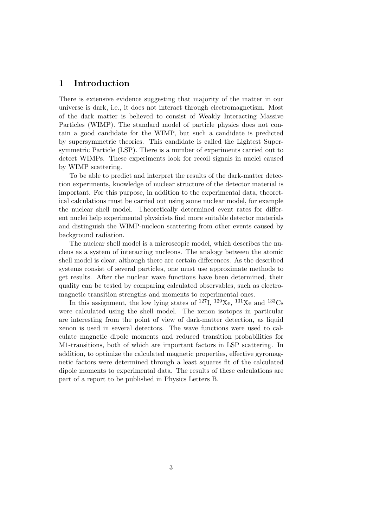### 1 Introduction

There is extensive evidence suggesting that majority of the matter in our universe is dark, i.e., it does not interact through electromagnetism. Most of the dark matter is believed to consist of Weakly Interacting Massive Particles (WIMP). The standard model of particle physics does not contain a good candidate for the WIMP, but such a candidate is predicted by supersymmetric theories. This candidate is called the Lightest Supersymmetric Particle (LSP). There is a number of experiments carried out to detect WIMPs. These experiments look for recoil signals in nuclei caused by WIMP scattering.

To be able to predict and interpret the results of the dark-matter detection experiments, knowledge of nuclear structure of the detector material is important. For this purpose, in addition to the experimental data, theoretical calculations must be carried out using some nuclear model, for example the nuclear shell model. Theoretically determined event rates for different nuclei help experimental physicists find more suitable detector materials and distinguish the WIMP-nucleon scattering from other events caused by background radiation.

The nuclear shell model is a microscopic model, which describes the nucleus as a system of interacting nucleons. The analogy between the atomic shell model is clear, although there are certain differences. As the described systems consist of several particles, one must use approximate methods to get results. After the nuclear wave functions have been determined, their quality can be tested by comparing calculated observables, such as electromagnetic transition strengths and moments to experimental ones.

In this assignment, the low lying states of  $^{127}I$ ,  $^{129}Xe$ ,  $^{131}Xe$  and  $^{133}Cs$ were calculated using the shell model. The xenon isotopes in particular are interesting from the point of view of dark-matter detection, as liquid xenon is used in several detectors. The wave functions were used to calculate magnetic dipole moments and reduced transition probabilities for M1-transitions, both of which are important factors in LSP scattering. In addition, to optimize the calculated magnetic properties, effective gyromagnetic factors were determined through a least squares fit of the calculated dipole moments to experimental data. The results of these calculations are part of a report to be published in Physics Letters B.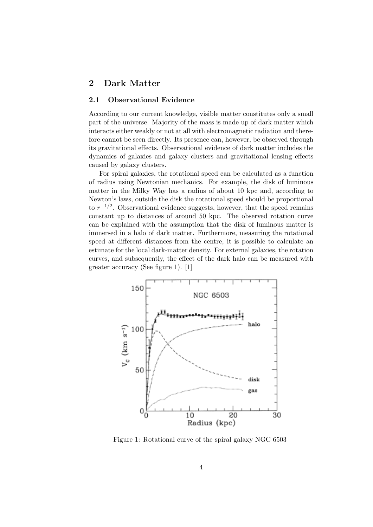## 2 Dark Matter

#### 2.1 Observational Evidence

According to our current knowledge, visible matter constitutes only a small part of the universe. Majority of the mass is made up of dark matter which interacts either weakly or not at all with electromagnetic radiation and therefore cannot be seen directly. Its presence can, however, be observed through its gravitational effects. Observational evidence of dark matter includes the dynamics of galaxies and galaxy clusters and gravitational lensing effects caused by galaxy clusters.

For spiral galaxies, the rotational speed can be calculated as a function of radius using Newtonian mechanics. For example, the disk of luminous matter in the Milky Way has a radius of about 10 kpc and, according to Newton's laws, outside the disk the rotational speed should be proportional to  $r^{-1/2}$ . Observational evidence suggests, however, that the speed remains constant up to distances of around 50 kpc. The observed rotation curve can be explained with the assumption that the disk of luminous matter is immersed in a halo of dark matter. Furthermore, measuring the rotational speed at different distances from the centre, it is possible to calculate an estimate for the local dark-matter density. For external galaxies, the rotation curves, and subsequently, the effect of the dark halo can be measured with greater accuracy (See figure 1). [1]



Figure 1: Rotational curve of the spiral galaxy NGC 6503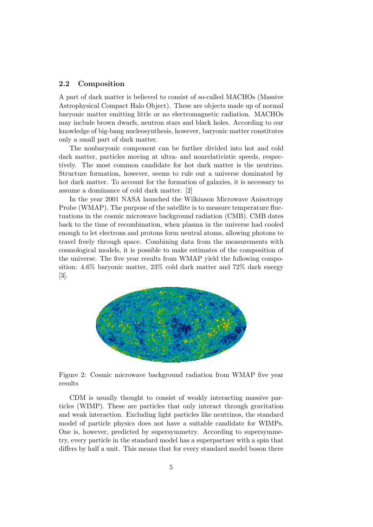#### 2.2 Composition

A part of dark matter is believed to consist of so-called MACHOs (Massive Astrophysical Compact Halo Object). These are objects made up of normal baryonic matter emitting little or no electromagnetic radiation. MACHOs may include brown dwarfs, neutron stars and black holes. According to our knowledge of big-bang nucleosynthesis, however, baryonic matter constitutes only a small part of dark matter.

The nonbaryonic component can be further divided into hot and cold dark matter, particles moving at ultra- and nonrelativistic speeds, respectively. The most common candidate for hot dark matter is the neutrino. Structure formation, however, seems to rule out a universe dominated by hot dark matter. To account for the formation of galaxies, it is necessary to assume a dominance of cold dark matter. [2]

In the year 2001 NASA launched the Wilkinson Microwave Anisotropy Probe (WMAP). The purpose of the satellite is to measure temperature fluctuations in the cosmic microwave background radiation (CMB). CMB dates back to the time of recombination, when plasma in the universe had cooled enough to let electrons and protons form neutral atoms, allowing photons to travel freely through space. Combining data from the measurements with cosmological models, it is possible to make estimates of the composition of the universe. The five year results from WMAP yield the following composition: 4.6% baryonic matter, 23% cold dark matter and 72% dark energy [3].



Figure 2: Cosmic microwave background radiation from WMAP five year results

CDM is usually thought to consist of weakly interacting massive particles (WIMP). These are particles that only interact through gravitation and weak interaction. Excluding light particles like neutrinos, the standard model of particle physics does not have a suitable candidate for WIMPs. One is, however, predicted by supersymmetry. According to supersymmetry, every particle in the standard model has a superpartner with a spin that differs by half a unit. This means that for every standard model boson there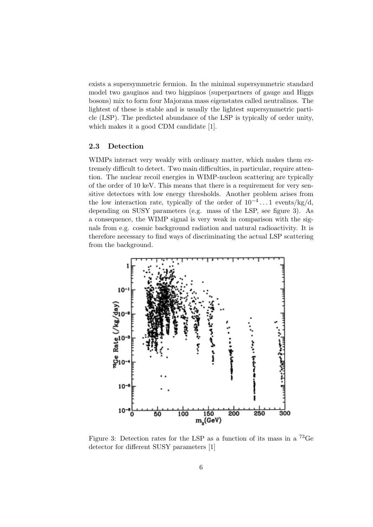exists a supersymmetric fermion. In the minimal supersymmetric standard model two gauginos and two higgsinos (superpartners of gauge and Higgs bosons) mix to form four Majorana mass eigenstates called neutralinos. The lightest of these is stable and is usually the lightest supersymmetric particle (LSP). The predicted abundance of the LSP is typically of order unity, which makes it a good CDM candidate [1].

#### 2.3 Detection

WIMPs interact very weakly with ordinary matter, which makes them extremely difficult to detect. Two main difficulties, in particular, require attention. The nuclear recoil energies in WIMP-nucleon scattering are typically of the order of 10 keV. This means that there is a requirement for very sensitive detectors with low energy thresholds. Another problem arises from the low interaction rate, typically of the order of  $10^{-4} \dots 1$  events/kg/d, depending on SUSY parameters (e.g. mass of the LSP, see figure 3). As a consequence, the WIMP signal is very weak in comparison with the signals from e.g. cosmic background radiation and natural radioactivity. It is therefore necessary to find ways of discriminating the actual LSP scattering from the background.



Figure 3: Detection rates for the LSP as a function of its mass in a <sup>73</sup>Ge detector for different SUSY parameters [1]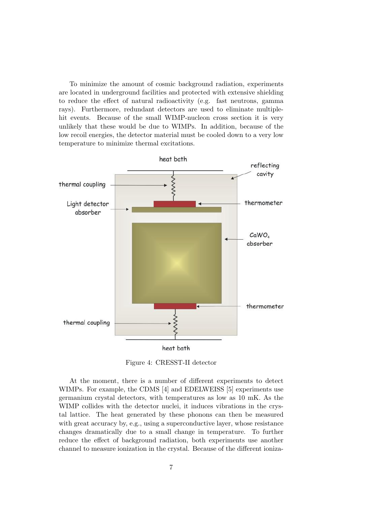To minimize the amount of cosmic background radiation, experiments are located in underground facilities and protected with extensive shielding to reduce the effect of natural radioactivity (e.g. fast neutrons, gamma rays). Furthermore, redundant detectors are used to eliminate multiplehit events. Because of the small WIMP-nucleon cross section it is very unlikely that these would be due to WIMPs. In addition, because of the low recoil energies, the detector material must be cooled down to a very low temperature to minimize thermal excitations.



Figure 4: CRESST-II detector

At the moment, there is a number of different experiments to detect WIMPs. For example, the CDMS [4] and EDELWEISS [5] experiments use germanium crystal detectors, with temperatures as low as 10 mK. As the WIMP collides with the detector nuclei, it induces vibrations in the crystal lattice. The heat generated by these phonons can then be measured with great accuracy by, e.g., using a superconductive layer, whose resistance changes dramatically due to a small change in temperature. To further reduce the effect of background radiation, both experiments use another channel to measure ionization in the crystal. Because of the different ioniza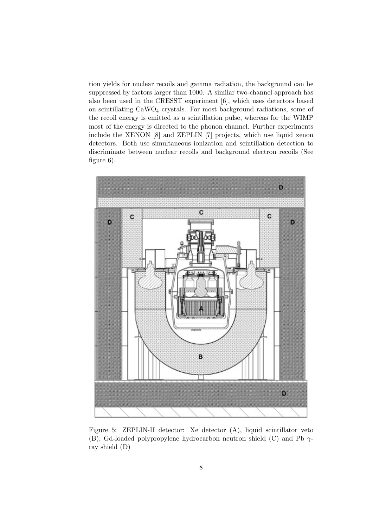tion yields for nuclear recoils and gamma radiation, the background can be suppressed by factors larger than 1000. A similar two-channel approach has also been used in the CRESST experiment [6], which uses detectors based on scintillating CaWO<sup>4</sup> crystals. For most background radiations, some of the recoil energy is emitted as a scintillation pulse, whereas for the WIMP most of the energy is directed to the phonon channel. Further experiments include the XENON [8] and ZEPLIN [7] projects, which use liquid xenon detectors. Both use simultaneous ionization and scintillation detection to discriminate between nuclear recoils and background electron recoils (See figure 6).



Figure 5: ZEPLIN-II detector: Xe detector (A), liquid scintillator veto (B), Gd-loaded polypropylene hydrocarbon neutron shield (C) and Pb  $\gamma$ ray shield (D)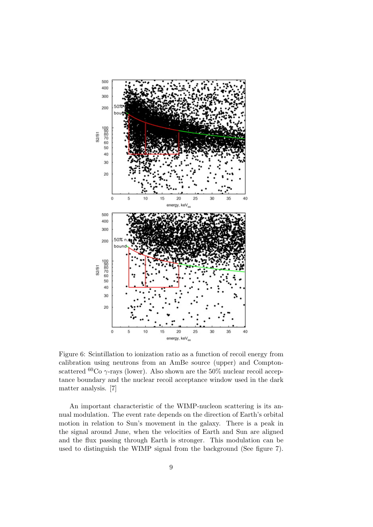

Figure 6: Scintillation to ionization ratio as a function of recoil energy from calibration using neutrons from an AmBe source (upper) and Comptonscattered <sup>60</sup>Co  $\gamma$ -rays (lower). Also shown are the 50% nuclear recoil acceptance boundary and the nuclear recoil acceptance window used in the dark matter analysis. [7]

An important characteristic of the WIMP-nucleon scattering is its annual modulation. The event rate depends on the direction of Earth's orbital motion in relation to Sun's movement in the galaxy. There is a peak in the signal around June, when the velocities of Earth and Sun are aligned and the flux passing through Earth is stronger. This modulation can be used to distinguish the WIMP signal from the background (See figure 7).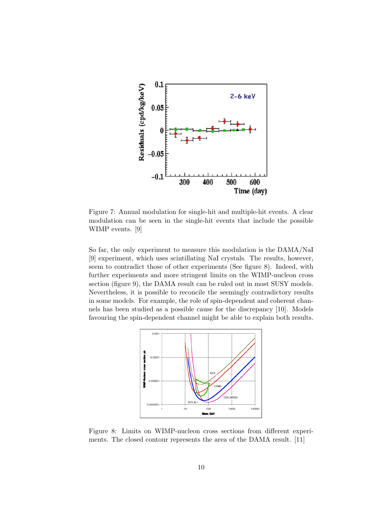

Figure 7: Annual modulation for single-hit and multiple-hit events. A clear modulation can be seen in the single-hit events that include the possible WIMP events. [9]

So far, the only experiment to measure this modulation is the DAMA/NaI [9] experiment, which uses scintillating NaI crystals. The results, however, seem to contradict those of other experiments (See figure 8). Indeed, with further experiments and more stringent limits on the WIMP-nucleon cross section (figure 9), the DAMA result can be ruled out in most SUSY models. Nevertheless, it is possible to reconcile the seemingly contradictory results in some models. For example, the role of spin-dependent and coherent channels has been studied as a possible cause for the discrepancy [10]. Models favouring the spin-dependent channel might be able to explain both results.



Figure 8: Limits on WIMP-nucleon cross sections from different experiments. The closed contour represents the area of the DAMA result. [11]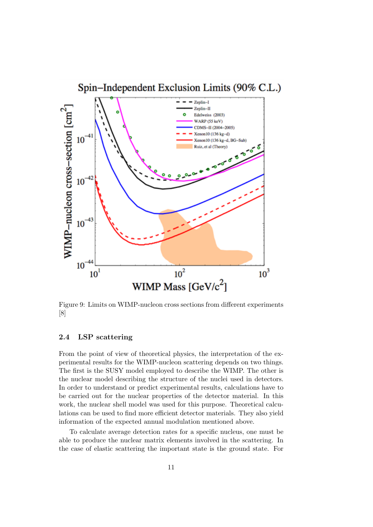

Figure 9: Limits on WIMP-nucleon cross sections from different experiments [8]

#### 2.4 LSP scattering

From the point of view of theoretical physics, the interpretation of the experimental results for the WIMP-nucleon scattering depends on two things. The first is the SUSY model employed to describe the WIMP. The other is the nuclear model describing the structure of the nuclei used in detectors. In order to understand or predict experimental results, calculations have to be carried out for the nuclear properties of the detector material. In this work, the nuclear shell model was used for this purpose. Theoretical calculations can be used to find more efficient detector materials. They also yield information of the expected annual modulation mentioned above.

To calculate average detection rates for a specific nucleus, one must be able to produce the nuclear matrix elements involved in the scattering. In the case of elastic scattering the important state is the ground state. For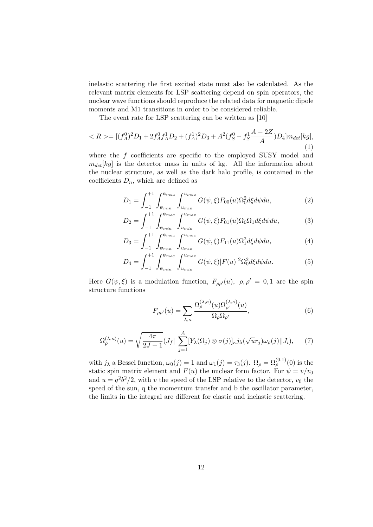inelastic scattering the first excited state must also be calculated. As the relevant matrix elements for LSP scattering depend on spin operators, the nuclear wave functions should reproduce the related data for magnetic dipole moments and M1 transitions in order to be considered reliable.

The event rate for LSP scattering can be written as [10]

$$
\langle R \rangle = [(f_A^0)^2 D_1 + 2f_A^0 f_A^1 D_2 + (f_A^1)^2 D_3 + A^2 (f_S^0 - f_S^1 \frac{A - 2Z}{A}) D_4] m_{det}[kg],
$$
\n(1)

where the  $f$  coefficients are specific to the employed SUSY model and  $m_{det}[kg]$  is the detector mass in units of kg. All the information about the nuclear structure, as well as the dark halo profile, is contained in the coefficients  $D_n$ , which are defined as

$$
D_1 = \int_{-1}^{+1} \int_{\psi_{min}}^{\psi_{max}} \int_{u_{min}}^{u_{max}} G(\psi, \xi) F_{00}(u) \Omega_0^2 d\xi d\psi du,
$$
 (2)

$$
D_2 = \int_{-1}^{+1} \int_{\psi_{min}}^{\psi_{max}} \int_{u_{min}}^{u_{max}} G(\psi, \xi) F_{01}(u) \Omega_0 \Omega_1 d\xi d\psi du,
$$
 (3)

$$
D_3 = \int_{-1}^{+1} \int_{\psi_{min}}^{\psi_{max}} \int_{u_{min}}^{u_{max}} G(\psi, \xi) F_{11}(u) \Omega_1^2 d\xi d\psi du,
$$
 (4)

$$
D_4 = \int_{-1}^{+1} \int_{\psi_{min}}^{\psi_{max}} \int_{u_{min}}^{u_{max}} G(\psi, \xi) |F(u)|^2 \Omega_0^2 d\xi d\psi du.
$$
 (5)

Here  $G(\psi, \xi)$  is a modulation function,  $F_{\rho \rho}(u)$ ,  $\rho, \rho' = 0, 1$  are the spin structure functions

$$
F_{\rho\rho'}(u) = \sum_{\lambda,\kappa} \frac{\Omega^{(\lambda,\kappa)}_{\rho}(u)\Omega^{(\lambda,\kappa)}_{\rho'}(u)}{\Omega_{\rho}\Omega_{\rho'}},\tag{6}
$$

$$
\Omega_{\rho}^{(\lambda,\kappa)}(u) = \sqrt{\frac{4\pi}{2J+1}} (J_f || \sum_{j=1}^{A} [Y_{\lambda}(\Omega_j) \otimes \sigma(j)]_{\kappa} j_{\lambda}(\sqrt{u}r_j) \omega_{\rho}(j) || J_i), \tag{7}
$$

with  $j_{\lambda}$  a Bessel function,  $\omega_0(j) = 1$  and  $\omega_1(j) = \tau_3(j)$ .  $\Omega_{\rho} = \Omega_{\rho}^{(0,1)}(0)$  is the static spin matrix element and  $F(u)$  the nuclear form factor. For  $\psi = v/v_0$ and  $u = q^2b^2/2$ , with v the speed of the LSP relative to the detector,  $v_0$  the speed of the sun, q the momentum transfer and b the oscillator parameter, the limits in the integral are different for elastic and inelastic scattering.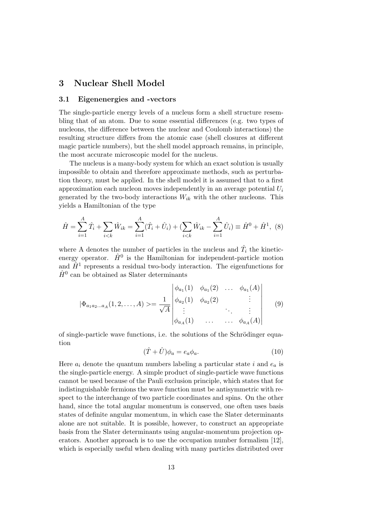## 3 Nuclear Shell Model

#### 3.1 Eigenenergies and -vectors

The single-particle energy levels of a nucleus form a shell structure resembling that of an atom. Due to some essential differences (e.g. two types of nucleons, the difference between the nuclear and Coulomb interactions) the resulting structure differs from the atomic case (shell closures at different magic particle numbers), but the shell model approach remains, in principle, the most accurate microscopic model for the nucleus.

The nucleus is a many-body system for which an exact solution is usually impossible to obtain and therefore approximate methods, such as perturbation theory, must be applied. In the shell model it is assumed that to a first approximation each nucleon moves independently in an average potential  $U_i$ generated by the two-body interactions  $W_{ik}$  with the other nucleons. This yields a Hamiltonian of the type

$$
\hat{H} = \sum_{i=1}^{A} \hat{T}_i + \sum_{i < k} \hat{W}_{ik} = \sum_{i=1}^{A} (\hat{T}_i + \hat{U}_i) + (\sum_{i < k} \hat{W}_{ik} - \sum_{i=1}^{A} \hat{U}_i) \equiv \hat{H}^0 + \hat{H}^1, \tag{8}
$$

where A denotes the number of particles in the nucleus and  $\hat{T}_i$  the kineticenergy operator.  $\hat{H}^0$  is the Hamiltonian for independent-particle motion and  $\hat{H}^1$  represents a residual two-body interaction. The eigenfunctions for  $\hat{H}^0$  can be obtained as Slater determinants

$$
|\Phi_{a_1a_2...a_A}(1,2,...,A) \rangle = \frac{1}{\sqrt{A}} \begin{vmatrix} \phi_{a_1}(1) & \phi_{a_1}(2) & \dots & \phi_{a_1}(A) \\ \phi_{a_2}(1) & \phi_{a_2}(2) & & \vdots \\ \vdots & & \ddots & \vdots \\ \phi_{a_A}(1) & \dots & \dots & \phi_{a_A}(A) \end{vmatrix}
$$
 (9)

of single-particle wave functions, i.e. the solutions of the Schrödinger equation

$$
(\hat{T} + \hat{U})\phi_a = e_a \phi_a.
$$
\n(10)

Here  $a_i$  denote the quantum numbers labeling a particular state i and  $e_a$  is the single-particle energy. A simple product of single-particle wave functions cannot be used because of the Pauli exclusion principle, which states that for indistinguishable fermions the wave function must be antisymmetric with respect to the interchange of two particle coordinates and spins. On the other hand, since the total angular momentum is conserved, one often uses basis states of definite angular momentum, in which case the Slater determinants alone are not suitable. It is possible, however, to construct an appropriate basis from the Slater determinants using angular-momentum projection operators. Another approach is to use the occupation number formalism [12], which is especially useful when dealing with many particles distributed over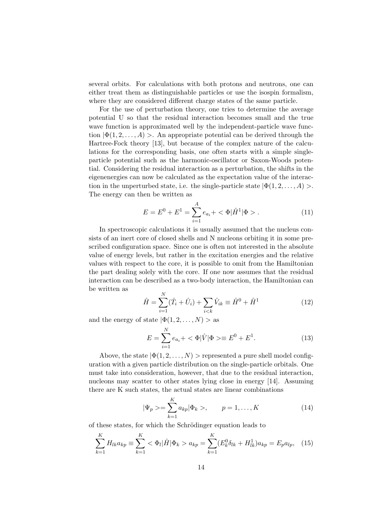several orbits. For calculations with both protons and neutrons, one can either treat them as distinguishable particles or use the isospin formalism, where they are considered different charge states of the same particle.

For the use of perturbation theory, one tries to determine the average potential U so that the residual interaction becomes small and the true wave function is approximated well by the independent-particle wave function  $|\Phi(1, 2, ..., A)| >$ . An appropriate potential can be derived through the Hartree-Fock theory [13], but because of the complex nature of the calculations for the corresponding basis, one often starts with a simple singleparticle potential such as the harmonic-oscillator or Saxon-Woods potential. Considering the residual interaction as a perturbation, the shifts in the eigenenergies can now be calculated as the expectation value of the interaction in the unperturbed state, i.e. the single-particle state  $|\Phi(1, 2, \ldots, A)| >$ . The energy can then be written as

$$
E = E^{0} + E^{1} = \sum_{i=1}^{A} e_{a_{i}} + \langle \Phi | \hat{H}^{1} | \Phi \rangle.
$$
 (11)

In spectroscopic calculations it is usually assumed that the nucleus consists of an inert core of closed shells and N nucleons orbiting it in some prescribed configuration space. Since one is often not interested in the absolute value of energy levels, but rather in the excitation energies and the relative values with respect to the core, it is possible to omit from the Hamiltonian the part dealing solely with the core. If one now assumes that the residual interaction can be described as a two-body interaction, the Hamiltonian can be written as

$$
\hat{H} = \sum_{i=1}^{N} (\hat{T}_i + \hat{U}_i) + \sum_{i < k} \hat{V}_{ik} \equiv \hat{H}^0 + \hat{H}^1 \tag{12}
$$

and the energy of state  $|\Phi(1, 2, \ldots, N) \rangle$  as

$$
E = \sum_{i=1}^{N} e_{a_i} + \langle \Phi | \hat{V} | \Phi \rangle \equiv E^0 + E^1.
$$
 (13)

Above, the state  $|\Phi(1, 2, \ldots, N) \rangle$  represented a pure shell model configuration with a given particle distribution on the single-particle orbitals. One must take into consideration, however, that due to the residual interaction, nucleons may scatter to other states lying close in energy [14]. Assuming there are K such states, the actual states are linear combinations

$$
|\Psi_p \rangle = \sum_{k=1}^{K} a_{kp} |\Phi_k \rangle, \qquad p = 1, ..., K \tag{14}
$$

of these states, for which the Schrödinger equation leads to

$$
\sum_{k=1}^{K} H_{lk} a_{kp} \equiv \sum_{k=1}^{K} \langle \Phi_l | \hat{H} | \Phi_k \rangle a_{kp} = \sum_{k=1}^{K} (E_k^0 \delta_{lk} + H_{lk}^1) a_{kp} = E_p a_{lp}, \quad (15)
$$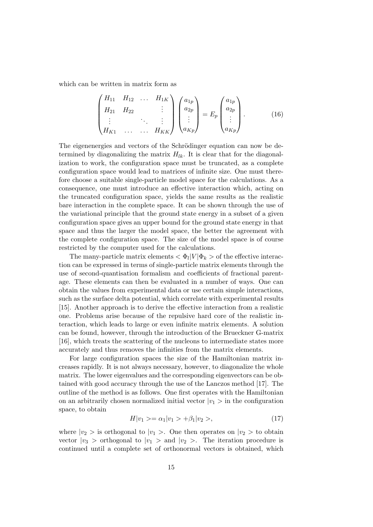which can be written in matrix form as

$$
\begin{pmatrix} H_{11} & H_{12} & \dots & H_{1K} \\ H_{21} & H_{22} & & \vdots \\ \vdots & & \ddots & \vdots \\ H_{K1} & \dots & \dots & H_{KK} \end{pmatrix} \begin{pmatrix} a_{1p} \\ a_{2p} \\ \vdots \\ a_{Kp} \end{pmatrix} = E_p \begin{pmatrix} a_{1p} \\ a_{2p} \\ \vdots \\ a_{Kp} \end{pmatrix} . \tag{16}
$$

The eigenenergies and vectors of the Schrödinger equation can now be determined by diagonalizing the matrix  $H_{lk}$ . It is clear that for the diagonalization to work, the configuration space must be truncated, as a complete configuration space would lead to matrices of infinite size. One must therefore choose a suitable single-particle model space for the calculations. As a consequence, one must introduce an effective interaction which, acting on the truncated configuration space, yields the same results as the realistic bare interaction in the complete space. It can be shown through the use of the variational principle that the ground state energy in a subset of a given configuration space gives an upper bound for the ground state energy in that space and thus the larger the model space, the better the agreement with the complete configuration space. The size of the model space is of course restricted by the computer used for the calculations.

The many-particle matrix elements  $\langle \Phi_l | V | \Phi_k \rangle$  of the effective interaction can be expressed in terms of single-particle matrix elements through the use of second-quantisation formalism and coefficients of fractional parentage. These elements can then be evaluated in a number of ways. One can obtain the values from experimental data or use certain simple interactions, such as the surface delta potential, which correlate with experimental results [15]. Another approach is to derive the effective interaction from a realistic one. Problems arise because of the repulsive hard core of the realistic interaction, which leads to large or even infinite matrix elements. A solution can be found, however, through the introduction of the Brueckner G-matrix [16], which treats the scattering of the nucleons to intermediate states more accurately and thus removes the infinities from the matrix elements.

For large configuration spaces the size of the Hamiltonian matrix increases rapidly. It is not always necessary, however, to diagonalize the whole matrix. The lower eigenvalues and the corresponding eigenvectors can be obtained with good accuracy through the use of the Lanczos method [17]. The outline of the method is as follows. One first operates with the Hamiltonian on an arbitrarily chosen normalized initial vector  $|v_1\rangle$  in the configuration space, to obtain

$$
H|v_1\rangle = \alpha_1|v_1\rangle + \beta_1|v_2\rangle, \tag{17}
$$

where  $|v_2\rangle$  is orthogonal to  $|v_1\rangle$ . One then operates on  $|v_2\rangle$  to obtain vector  $|v_3|$  > orthogonal to  $|v_1|$  > and  $|v_2|$  >. The iteration procedure is continued until a complete set of orthonormal vectors is obtained, which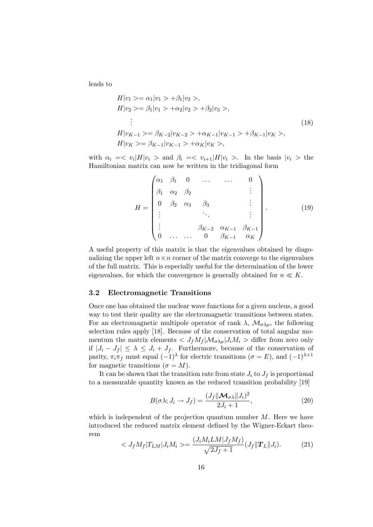leads to

$$
H|v_1\rangle = \alpha_1|v_1\rangle + \beta_1|v_2\rangle,
$$
  
\n
$$
H|v_2\rangle = \beta_1|v_1\rangle + \alpha_2|v_2\rangle + \beta_2|v_3\rangle,
$$
  
\n
$$
\vdots
$$
  
\n
$$
H|v_{K-1}\rangle = \beta_{K-2}|v_{K-2}\rangle + \alpha_{K-1}|v_{K-1}\rangle + \beta_{K-1}|v_K\rangle,
$$
  
\n
$$
H|v_K\rangle = \beta_{K-1}|v_{K-1}\rangle + \alpha_K|v_K\rangle,
$$
  
\n(18)

with  $\alpha_i = \langle v_i | H | v_i \rangle$  and  $\beta_i = \langle v_{i+1} | H | v_i \rangle$ . In the basis  $|v_i \rangle$  the Hamiltonian matrix can now be written in the tridiagonal form

$$
H = \begin{pmatrix} \alpha_1 & \beta_1 & 0 & \dots & \dots & 0 \\ \beta_1 & \alpha_2 & \beta_2 & & & \vdots \\ 0 & \beta_2 & \alpha_3 & \beta_3 & & \vdots \\ \vdots & & & \ddots & & \vdots \\ \vdots & & & & \beta_{K-2} & \alpha_{K-1} & \beta_{K-1} \\ 0 & \dots & \dots & 0 & \beta_{K-1} & \alpha_K \end{pmatrix} .
$$
 (19)

A useful property of this matrix is that the eigenvalues obtained by diagonalizing the upper left  $n \times n$  corner of the matrix converge to the eigenvalues of the full matrix. This is especially useful for the determination of the lower eigenvalues, for which the convergence is generally obtained for  $n \ll K$ .

#### 3.2 Electromagnetic Transitions

Once one has obtained the nuclear wave functions for a given nucleus, a good way to test their quality are the electromagnetic transitions between states. For an electromagnetic multipole operator of rank  $\lambda$ ,  $\mathcal{M}_{\sigma\lambda\mu}$ , the following selection rules apply [18]. Because of the conservation of total angular momentum the matrix elements  $\langle J_f M_f | \mathcal{M}_{\sigma \lambda \mu} | J_i M_i \rangle$  differ from zero only if  $|J_i - J_f|$  ≤  $\lambda$  ≤  $J_i + J_f$ . Furthermore, because of the conservation of parity,  $\pi_i \pi_f$  must equal  $(-1)$ <sup>λ</sup> for electric transitions ( $\sigma = E$ ), and  $(-1)^{\lambda+1}$ for magnetic transitions  $(\sigma = M)$ .

It can be shown that the transition rate from state  $J_i$  to  $J_f$  is proportional to a measurable quantity known as the reduced transition probability [19]

$$
B(\sigma \lambda; J_i \to J_f) = \frac{(J_f || \mathcal{M}_{\sigma \lambda} || J_i)^2}{2J_i + 1},
$$
\n(20)

which is independent of the projection quantum number  $M$ . Here we have introduced the reduced matrix element defined by the Wigner-Eckart theorem

$$
\langle J_f M_f | T_{LM} | J_i M_i \rangle = \frac{(J_i M_i L M | J_f M_f)}{\sqrt{2J_f + 1}} (J_f || \mathbf{T}_L || J_i). \tag{21}
$$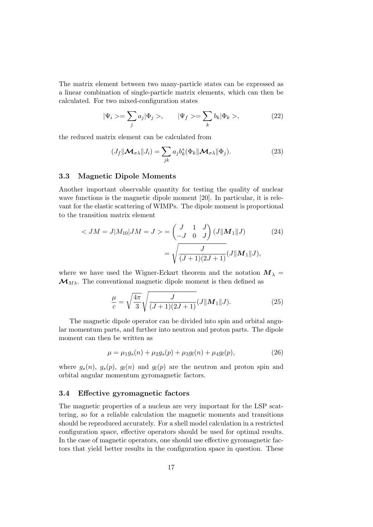The matrix element between two many-particle states can be expressed as a linear combination of single-particle matrix elements, which can then be calculated. For two mixed-configuration states

$$
|\Psi_i \rangle = \sum_j a_j |\Phi_j \rangle, \qquad |\Psi_f \rangle = \sum_k b_k |\Phi_k \rangle, \tag{22}
$$

the reduced matrix element can be calculated from

$$
(J_f \|\mathcal{M}_{\sigma\lambda}\| J_i) = \sum_{jk} a_j b_k^* (\Phi_k \|\mathcal{M}_{\sigma\lambda}\|\Phi_j).
$$
 (23)

#### 3.3 Magnetic Dipole Moments

Another important observable quantity for testing the quality of nuclear wave functions is the magnetic dipole moment [20]. In particular, it is relevant for the elastic scattering of WIMPs. The dipole moment is proportional to the transition matrix element

$$
\langle JM = J | M_{10} | JM = J \rangle = \begin{pmatrix} J & 1 & J \\ -J & 0 & J \end{pmatrix} (J || \mathbf{M}_1 || J) \tag{24}
$$

$$
= \sqrt{\frac{J}{(J+1)(2J+1)}} (J || \mathbf{M}_1 || J),
$$

where we have used the Wigner-Eckart theorem and the notation  $M_{\lambda}$  =  $\mathcal{M}_{M\lambda}$ . The conventional magnetic dipole moment is then defined as

$$
\frac{\mu}{c} = \sqrt{\frac{4\pi}{3}} \sqrt{\frac{J}{(J+1)(2J+1)}} (J||\mathbf{M}_1||J). \tag{25}
$$

The magnetic dipole operator can be divided into spin and orbital angular momentum parts, and further into neutron and proton parts. The dipole moment can then be written as

$$
\mu = \mu_1 g_s(n) + \mu_2 g_s(p) + \mu_3 g_l(n) + \mu_4 g_l(p), \qquad (26)
$$

where  $g_s(n)$ ,  $g_s(p)$ ,  $g_l(n)$  and  $g_l(p)$  are the neutron and proton spin and orbital angular momentum gyromagnetic factors.

#### 3.4 Effective gyromagnetic factors

The magnetic properties of a nucleus are very important for the LSP scattering, so for a reliable calculation the magnetic moments and transitions should be reproduced accurately. For a shell model calculation in a restricted configuration space, effective operators should be used for optimal results. In the case of magnetic operators, one should use effective gyromagnetic factors that yield better results in the configuration space in question. These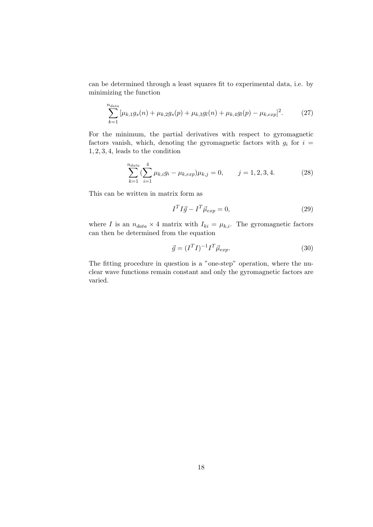can be determined through a least squares fit to experimental data, i.e. by minimizing the function

$$
\sum_{k=1}^{n_{data}} \left[ \mu_{k,1} g_s(n) + \mu_{k,2} g_s(p) + \mu_{k,3} g_l(n) + \mu_{k,4} g_l(p) - \mu_{k,exp} \right]^2.
$$
 (27)

For the minimum, the partial derivatives with respect to gyromagnetic factors vanish, which, denoting the gyromagnetic factors with  $g_i$  for  $i =$ 1, 2, 3, 4, leads to the condition

$$
\sum_{k=1}^{n_{data}} \left(\sum_{i=1}^{4} \mu_{k,i} g_i - \mu_{k,exp}\right) \mu_{k,j} = 0, \qquad j = 1, 2, 3, 4. \tag{28}
$$

This can be written in matrix form as

$$
I^T I \vec{g} - I^T \vec{\mu}_{exp} = 0,\t\t(29)
$$

where I is an  $n_{data} \times 4$  matrix with  $I_{ki} = \mu_{k,i}$ . The gyromagnetic factors can then be determined from the equation

$$
\vec{g} = (I^T I)^{-1} I^T \vec{\mu}_{exp}.
$$
\n(30)

The fitting procedure in question is a "one-step" operation, where the nuclear wave functions remain constant and only the gyromagnetic factors are varied.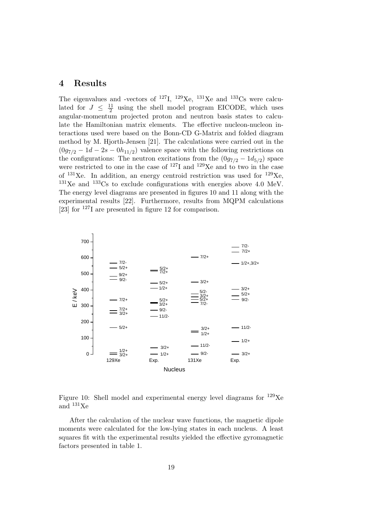### 4 Results

The eigenvalues and -vectors of  $^{127}I$ ,  $^{129}Xe$ ,  $^{131}Xe$  and  $^{133}Cs$  were calculated for  $J \leq \frac{11}{2}$  $\frac{11}{2}$  using the shell model program EICODE, which uses angular-momentum projected proton and neutron basis states to calculate the Hamiltonian matrix elements. The effective nucleon-nucleon interactions used were based on the Bonn-CD G-Matrix and folded diagram method by M. Hjorth-Jensen [21]. The calculations were carried out in the  $(0g_{7/2} - 1d - 2s - 0h_{11/2})$  valence space with the following restrictions on the configurations: The neutron excitations from the  $(0g_{7/2} - 1d_{5/2})$  space were restricted to one in the case of  $^{127}I$  and  $^{129}Xe$  and to two in the case of  $131\text{Xe}$ . In addition, an energy centroid restriction was used for  $129\text{Xe}$ ,  $^{131}$ Xe and  $^{133}$ Cs to exclude configurations with energies above 4.0 MeV. The energy level diagrams are presented in figures 10 and 11 along with the experimental results [22]. Furthermore, results from MQPM calculations [23] for <sup>127</sup>I are presented in figure 12 for comparison.



Figure 10: Shell model and experimental energy level diagrams for  $^{129}Xe$ and <sup>131</sup>Xe

After the calculation of the nuclear wave functions, the magnetic dipole moments were calculated for the low-lying states in each nucleus. A least squares fit with the experimental results yielded the effective gyromagnetic factors presented in table 1.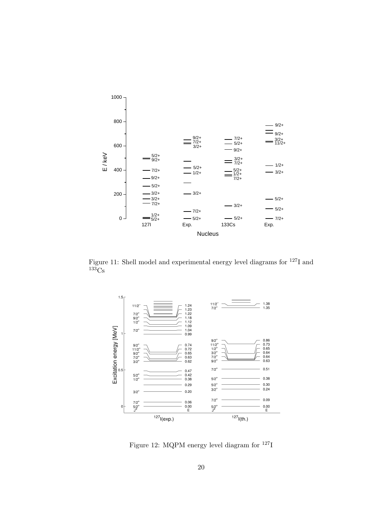

Figure 11: Shell model and experimental energy level diagrams for <sup>127</sup>I and  $133C_S$ 



Figure 12: MQPM energy level diagram for <sup>127</sup>I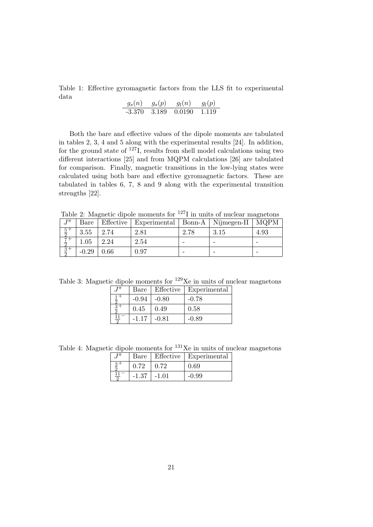Table 1: Effective gyromagnetic factors from the LLS fit to experimental data

$$
\begin{array}{cccc}g_s(n) & g_s(p) & g_l(n) & g_l(p)\\ \hline -3.370 & 3.189 & 0.0190 & 1.119\end{array}
$$

Both the bare and effective values of the dipole moments are tabulated in tables 2, 3, 4 and 5 along with the experimental results [24]. In addition, for the ground state of  $127$ I, results from shell model calculations using two different interactions [25] and from MQPM calculations [26] are tabulated for comparison. Finally, magnetic transitions in the low-lying states were calculated using both bare and effective gyromagnetic factors. These are tabulated in tables 6, 7, 8 and 9 along with the experimental transition strengths [22].

Table 2: Magnetic dipole moments for  $127$ I in units of nuclear magnetons

| $T\pi$<br>IJ                            | Bare     | Effective | Experimental   Bonn-A   Nijmegen-II |      |      | <b>MQPM</b> |
|-----------------------------------------|----------|-----------|-------------------------------------|------|------|-------------|
| $rac{5}{2}$<br>$\overline{2}$           | 3.55     | 2.74      | 2.81                                | 2.78 | 3.15 | 4.93        |
| $-+$                                    | $1.05\,$ | 2.24      | 2.54                                | -    |      |             |
| $\overline{3}$ +<br>$\overline{\Omega}$ | $-0.29$  | $0.66\,$  | 0.97                                |      |      |             |

Table 3: Magnetic dipole moments for  $129Xe$  in units of nuclear magnetons

| $T^{\pi}$ | Bare    |         | Effective   Experimental |
|-----------|---------|---------|--------------------------|
|           | $-0.94$ | $-0.80$ | $-0.78$                  |
|           | 0.45    | 0.49    | 0.58                     |
| $11 -$    | $-1.17$ | $-0.81$ | $-0.89$                  |

Table 4: Magnetic dipole moments for  $^{131}\text{Xe}$  in units of nuclear magnetons

| тπ |         |         | Bare   Effective   Experimental |
|----|---------|---------|---------------------------------|
|    |         | 0.72    | 0.69                            |
|    | $-1.37$ | $-1.01$ | $-0.99$                         |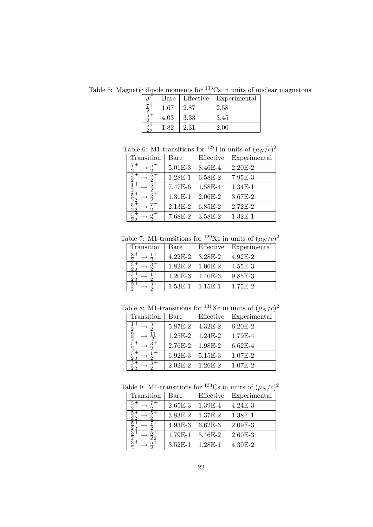Table 5: Magnetic dipole moments for  $133\text{Cs}$  in units of nuclear magnetons

| $T^{\pi}$ |      | Bare   Effective | Experimental |
|-----------|------|------------------|--------------|
|           | 1.67 | 2.87             | 2.58         |
|           | 4.03 | 3.33             | 3.45         |
|           | 1.82 | 2.31             | 2.00         |

Table 6: M1-transitions for <sup>127</sup>I in units of  $(\mu_N/c)^2$ 

|            |             | Effective |              |
|------------|-------------|-----------|--------------|
| Transition | Bare        |           | Experimental |
|            | $5.01E - 3$ | 8.46E-4   | $2.20E - 2$  |
|            | 1.28E-1     | 6.58E-2   | 7.95E-3      |
|            | 7.47E-6     | 1.58E-4   | 1.34E-1      |
|            | $1.31E-1$   | $2.06E-2$ | $3.67E-2$    |
|            | $2.13E-2$   | 6.85E-2   | $2.72E-2$    |
|            | 7.68E-2     | 3.58E-2   | $1.32E-1$    |

Table 7: M1-transitions for <sup>129</sup>Xe in units of  $(\mu_N/c)^2$ 

| Transition | Bare        | Effective | Experimental |
|------------|-------------|-----------|--------------|
|            | $4.22E - 2$ | 3.28E-2   | $4.92E - 2$  |
|            | $1.82E - 2$ | $1.06E-2$ | $4.55E-3$    |
|            | $1.20E-3$   | $1.40E-3$ | 9.85E-3      |
|            | $1.53E-1$   | $1.15E-1$ | 1.75E-2      |

Table 8: M1-transitions for <sup>131</sup>Xe in units of  $(\mu_N/c)^2$ 

| Transition | Bare        | Effective   | Experimental |
|------------|-------------|-------------|--------------|
|            | 5.87E-2     | $4.32E - 2$ | $6.20E-2$    |
|            | $1.25E-2$   | $1.24E-2$   | 1.79E-4      |
|            | 2.76E-2     | 1.98E-2     | $6.62E - 4$  |
|            | $6.92E-3$   | 5.15E-3     | 1.07E-2      |
|            | $2.02E - 2$ | 1.26E-2     | $1.07E-2$    |

Table 9: M1-transitions for <sup>133</sup>Cs in units of  $(\mu_N/c)^2$ 

| $\frac{1}{2}$ $\frac{1}{2}$ $\frac{1}{2}$ $\frac{1}{2}$ $\frac{1}{2}$ $\frac{1}{2}$ $\frac{1}{2}$ $\frac{1}{2}$ $\frac{1}{2}$ $\frac{1}{2}$ $\frac{1}{2}$ $\frac{1}{2}$ $\frac{1}{2}$ $\frac{1}{2}$ $\frac{1}{2}$ $\frac{1}{2}$ $\frac{1}{2}$ $\frac{1}{2}$ $\frac{1}{2}$ $\frac{1}{2}$ $\frac{1}{2}$ $\frac{1}{2}$ |           |             |              |  |  |
|---------------------------------------------------------------------------------------------------------------------------------------------------------------------------------------------------------------------------------------------------------------------------------------------------------------------|-----------|-------------|--------------|--|--|
| Transition                                                                                                                                                                                                                                                                                                          | Bare      | Effective   | Experimental |  |  |
|                                                                                                                                                                                                                                                                                                                     | $2.65E-3$ | 1.39E-4     | $4.24E - 3$  |  |  |
|                                                                                                                                                                                                                                                                                                                     | 3.83E-2   | 1.37E-2     | 1.38E-1      |  |  |
|                                                                                                                                                                                                                                                                                                                     | 4.93E-3   | $6.62E - 3$ | $2.09E-3$    |  |  |
| ີ                                                                                                                                                                                                                                                                                                                   | 1.79E-1   | 5.46E-2     | $2.60E - 3$  |  |  |
|                                                                                                                                                                                                                                                                                                                     | $3.52E-1$ | 1.28E-1     | 4.30E-2      |  |  |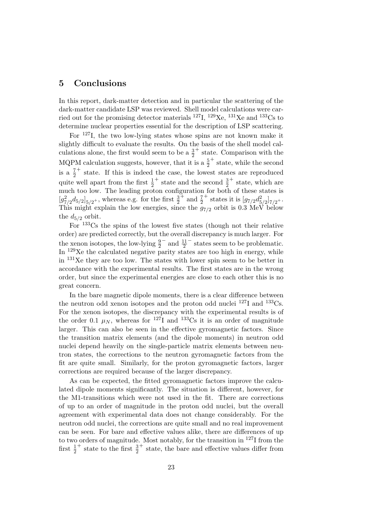## 5 Conclusions

In this report, dark-matter detection and in particular the scattering of the dark-matter candidate LSP was reviewed. Shell model calculations were carried out for the promising detector materials  $^{127}$ I,  $^{129}$ Xe,  $^{131}$ Xe and  $^{133}$ Cs to determine nuclear properties essential for the description of LSP scattering.

For <sup>127</sup>I, the two low-lying states whose spins are not known make it slightly difficult to evaluate the results. On the basis of the shell model calculations alone, the first would seem to be a  $\frac{3}{2}$ + state. Comparison with the MQPM calculation suggests, however, that it is a  $\frac{5}{2}$ + state, while the second is a  $\frac{7}{2}$ + state. If this is indeed the case, the lowest states are reproduced quite well apart from the first  $\frac{1}{2}$  $^+$  state and the second  $\frac{3}{2}$ <sup>+</sup> state, which are much too low. The leading proton configuration for both of these states is  $[g_{7/2}^2 d_{5/2}]_{5/2}$ <sup>+</sup>, whereas e.g. for the first  $\frac{3}{2}$  $+$  and  $\frac{7}{2}$ <sup>+</sup> states it is  $[g_{7/2}d_{5/2}^2]_{7/2}$ +. This might explain the low energies, since the  $g_{7/2}$  orbit is 0.3 MeV below the  $d_{5/2}$  orbit.

For <sup>133</sup>Cs the spins of the lowest five states (though not their relative order) are predicted correctly, but the overall discrepancy is much larger. For the xenon isotopes, the low-lying  $\frac{9}{2}$  $^{-}$  and  $\frac{11}{2}$ − states seem to be problematic. In  $129Xe$  the calculated negative parity states are too high in energy, while in <sup>131</sup>Xe they are too low. The states with lower spin seem to be better in accordance with the experimental results. The first states are in the wrong order, but since the experimental energies are close to each other this is no great concern.

In the bare magnetic dipole moments, there is a clear difference between the neutron odd xenon isotopes and the proton odd nuclei  $^{127}I$  and  $^{133}Cs$ . For the xenon isotopes, the discrepancy with the experimental results is of the order 0.1  $\mu$ <sub>N</sub>, whereas for <sup>127</sup>I and <sup>133</sup>Cs it is an order of magnitude larger. This can also be seen in the effective gyromagnetic factors. Since the transition matrix elements (and the dipole moments) in neutron odd nuclei depend heavily on the single-particle matrix elements between neutron states, the corrections to the neutron gyromagnetic factors from the fit are quite small. Similarly, for the proton gyromagnetic factors, larger corrections are required because of the larger discrepancy.

As can be expected, the fitted gyromagnetic factors improve the calculated dipole moments significantly. The situation is different, however, for the M1-transitions which were not used in the fit. There are corrections of up to an order of magnitude in the proton odd nuclei, but the overall agreement with experimental data does not change considerably. For the neutron odd nuclei, the corrections are quite small and no real improvement can be seen. For bare and effective values alike, there are differences of up to two orders of magnitude. Most notably, for the transition in <sup>127</sup>I from the first  $\frac{1}{2}$ <sup>+</sup> state to the first  $\frac{3}{2}$ + state, the bare and effective values differ from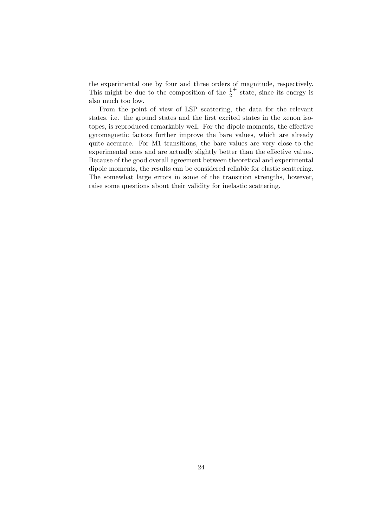the experimental one by four and three orders of magnitude, respectively. This might be due to the composition of the  $\frac{1}{2}$ + state, since its energy is also much too low.

From the point of view of LSP scattering, the data for the relevant states, i.e. the ground states and the first excited states in the xenon isotopes, is reproduced remarkably well. For the dipole moments, the effective gyromagnetic factors further improve the bare values, which are already quite accurate. For M1 transitions, the bare values are very close to the experimental ones and are actually slightly better than the effective values. Because of the good overall agreement between theoretical and experimental dipole moments, the results can be considered reliable for elastic scattering. The somewhat large errors in some of the transition strengths, however, raise some questions about their validity for inelastic scattering.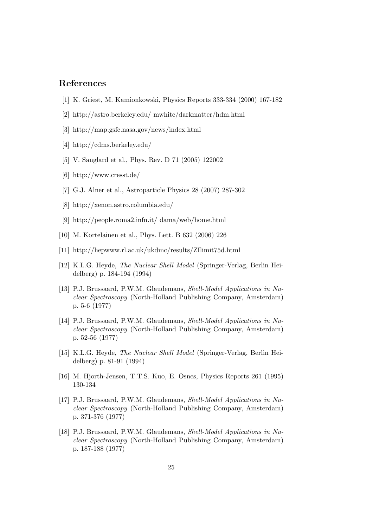## References

- [1] K. Griest, M. Kamionkowski, Physics Reports 333-334 (2000) 167-182
- [2] http://astro.berkeley.edu/ mwhite/darkmatter/hdm.html
- [3] http://map.gsfc.nasa.gov/news/index.html
- [4] http://cdms.berkeley.edu/
- [5] V. Sanglard et al., Phys. Rev. D 71 (2005) 122002
- [6] http://www.cresst.de/
- [7] G.J. Alner et al., Astroparticle Physics 28 (2007) 287-302
- [8] http://xenon.astro.columbia.edu/
- [9] http://people.roma2.infn.it/ dama/web/home.html
- [10] M. Kortelainen et al., Phys. Lett. B 632 (2006) 226
- [11] http://hepwww.rl.ac.uk/ukdmc/results/ZIlimit75d.html
- [12] K.L.G. Heyde, The Nuclear Shell Model (Springer-Verlag, Berlin Heidelberg) p. 184-194 (1994)
- [13] P.J. Brussaard, P.W.M. Glaudemans, Shell-Model Applications in Nuclear Spectroscopy (North-Holland Publishing Company, Amsterdam) p. 5-6 (1977)
- [14] P.J. Brussaard, P.W.M. Glaudemans, Shell-Model Applications in Nuclear Spectroscopy (North-Holland Publishing Company, Amsterdam) p. 52-56 (1977)
- [15] K.L.G. Heyde, The Nuclear Shell Model (Springer-Verlag, Berlin Heidelberg) p. 81-91 (1994)
- [16] M. Hjorth-Jensen, T.T.S. Kuo, E. Osnes, Physics Reports 261 (1995) 130-134
- [17] P.J. Brussaard, P.W.M. Glaudemans, Shell-Model Applications in Nuclear Spectroscopy (North-Holland Publishing Company, Amsterdam) p. 371-376 (1977)
- [18] P.J. Brussaard, P.W.M. Glaudemans, Shell-Model Applications in Nuclear Spectroscopy (North-Holland Publishing Company, Amsterdam) p. 187-188 (1977)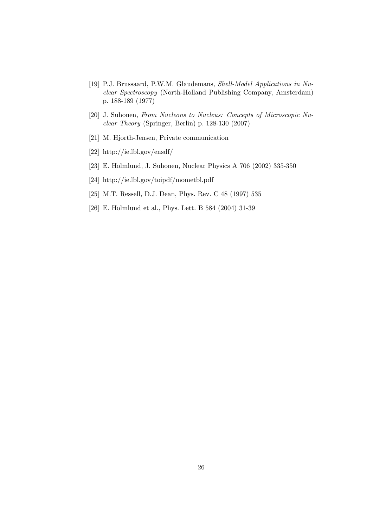- [19] P.J. Brussaard, P.W.M. Glaudemans, Shell-Model Applications in Nuclear Spectroscopy (North-Holland Publishing Company, Amsterdam) p. 188-189 (1977)
- [20] J. Suhonen, From Nucleons to Nucleus: Concepts of Microscopic Nuclear Theory (Springer, Berlin) p. 128-130 (2007)
- [21] M. Hjorth-Jensen, Private communication
- [22] http://ie.lbl.gov/ensdf/
- [23] E. Holmlund, J. Suhonen, Nuclear Physics A 706 (2002) 335-350
- [24] http://ie.lbl.gov/toipdf/mometbl.pdf
- [25] M.T. Ressell, D.J. Dean, Phys. Rev. C 48 (1997) 535
- [26] E. Holmlund et al., Phys. Lett. B 584 (2004) 31-39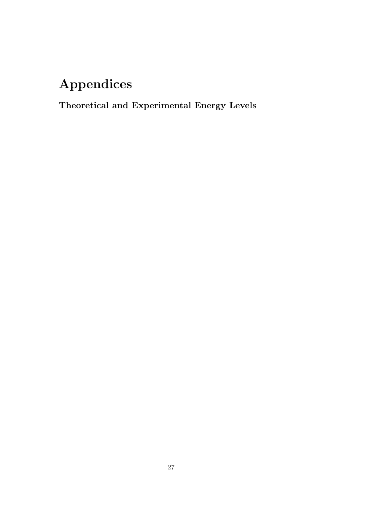## Appendices

Theoretical and Experimental Energy Levels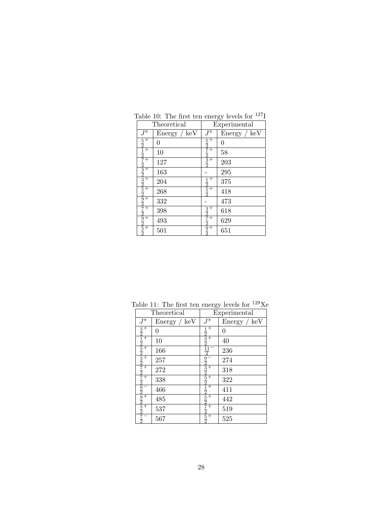|                             | Theoretical  |                                                 | Experimental |  |
|-----------------------------|--------------|-------------------------------------------------|--------------|--|
| $J^{\pi}$                   | Energy / keV | $J^{\bar{\pi}}$                                 | Energy / keV |  |
|                             | 0            |                                                 | 0            |  |
| <u> 5212723325292729252</u> | 10           | $rac{5}{2}$ $rac{7}{2}$ $rac{7}{2}$ $rac{3}{2}$ | 58           |  |
|                             | 127          |                                                 | 203          |  |
|                             | 163          |                                                 | 295          |  |
|                             | 204          |                                                 | 375          |  |
|                             | 268          | $rac{1}{2} + \frac{5}{2} + \frac{5}{2}$         | 418          |  |
|                             | 332          |                                                 | 473          |  |
|                             | 398          | $\frac{3}{2}$                                   | 618          |  |
|                             | 493          | $\frac{7}{2}$                                   | 629          |  |
|                             | 501          | $\frac{9}{2}$                                   | 651          |  |

Table 10: The first ten energy levels for  $^{127}$ <sup>I</sup>

|                                                   | Theoretical  |                                                                                                                                                                                                                                                                                                                                                                                                    | Experimental |
|---------------------------------------------------|--------------|----------------------------------------------------------------------------------------------------------------------------------------------------------------------------------------------------------------------------------------------------------------------------------------------------------------------------------------------------------------------------------------------------|--------------|
| $J^\pi$                                           | Energy / keV | $J^\pi$                                                                                                                                                                                                                                                                                                                                                                                            | Energy / keV |
| $rac{3}{2}$ +                                     | 0            |                                                                                                                                                                                                                                                                                                                                                                                                    | 0            |
| $\frac{1}{2}$ 5 2 3 2 7 2 2 2 2 2 2 2 5 2 3 2 5 2 | 10           | $\frac{1}{2}$ $\frac{3}{2}$ $\frac{11}{2}$                                                                                                                                                                                                                                                                                                                                                         | 40           |
|                                                   | 166          |                                                                                                                                                                                                                                                                                                                                                                                                    | 236          |
|                                                   | 257          |                                                                                                                                                                                                                                                                                                                                                                                                    | 274          |
|                                                   | 272          |                                                                                                                                                                                                                                                                                                                                                                                                    | 318          |
|                                                   | 338          |                                                                                                                                                                                                                                                                                                                                                                                                    | 322          |
|                                                   | 466          |                                                                                                                                                                                                                                                                                                                                                                                                    | 411          |
|                                                   | 485          | $\frac{9}{2} \frac{3}{3} \frac{2}{2} \frac{5}{2} \frac{2}{1} \frac{1}{2} \frac{1}{5} \frac{1}{2} + \frac{1}{1} + \frac{1}{1} + \frac{1}{1} + \frac{1}{1} + \frac{1}{1} + \frac{1}{1} + \frac{1}{1} + \frac{1}{1} + \frac{1}{1} + \frac{1}{1} + \frac{1}{1} + \frac{1}{1} + \frac{1}{1} + \frac{1}{1} + \frac{1}{1} + \frac{1}{1} + \frac{1}{1} + \frac{1}{1} + \frac{1}{1} + \frac{1}{1} + \frac{$ | 442          |
|                                                   | 537          |                                                                                                                                                                                                                                                                                                                                                                                                    | 519          |
| $\frac{7}{2}$                                     | 567          |                                                                                                                                                                                                                                                                                                                                                                                                    | 525          |

Table 11: The first ten energy levels for  $^{129}\text{Xe}$